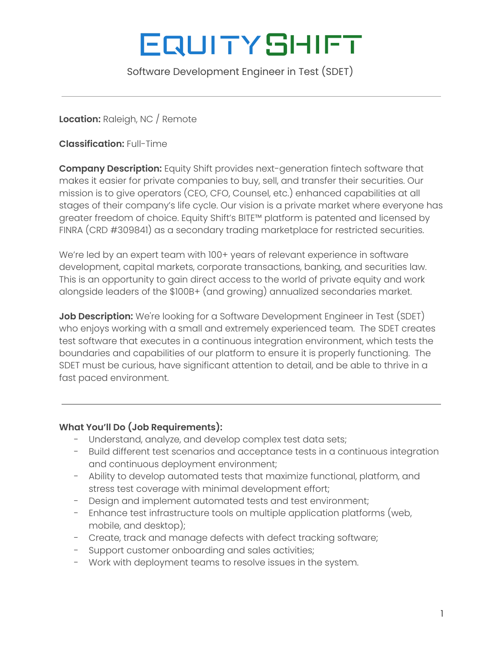# **EQUITYSHIFT**

Software Development Engineer in Test (SDET)

## **Location:** Raleigh, NC / Remote

**Classification:** Full-Time

**Company Description:** Equity Shift provides next-generation fintech software that makes it easier for private companies to buy, sell, and transfer their securities. Our mission is to give operators (CEO, CFO, Counsel, etc.) enhanced capabilities at all stages of their company's life cycle. Our vision is a private market where everyone has greater freedom of choice. Equity Shift's BITE™ platform is patented and licensed by FINRA (CRD #309841) as a secondary trading marketplace for restricted securities.

We're led by an expert team with 100+ years of relevant experience in software development, capital markets, corporate transactions, banking, and securities law. This is an opportunity to gain direct access to the world of private equity and work alongside leaders of the \$100B+ (and growing) annualized secondaries market.

**Job Description:** We're looking for a Software Development Engineer in Test (SDET) who enjoys working with a small and extremely experienced team. The SDET creates test software that executes in a continuous integration environment, which tests the boundaries and capabilities of our platform to ensure it is properly functioning. The SDET must be curious, have significant attention to detail, and be able to thrive in a fast paced environment.

## **What You'll Do (Job Requirements):**

- Understand, analyze, and develop complex test data sets;
- Build different test scenarios and acceptance tests in a continuous integration and continuous deployment environment;
- Ability to develop automated tests that maximize functional, platform, and stress test coverage with minimal development effort;
- Design and implement automated tests and test environment;
- Enhance test infrastructure tools on multiple application platforms (web, mobile, and desktop);
- Create, track and manage defects with defect tracking software;
- Support customer onboarding and sales activities;
- Work with deployment teams to resolve issues in the system.